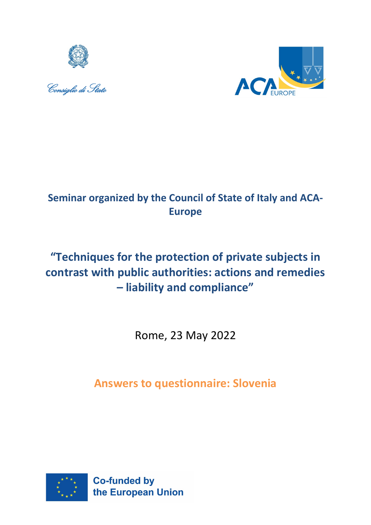





## **Seminar organized by the Council of State of Italy and ACA-Europe**

# **"Techniques for the protection of private subjects in contrast with public authorities: actions and remedies – liability and compliance"**

Rome, 23 May 2022

**Answers to questionnaire: Slovenia**

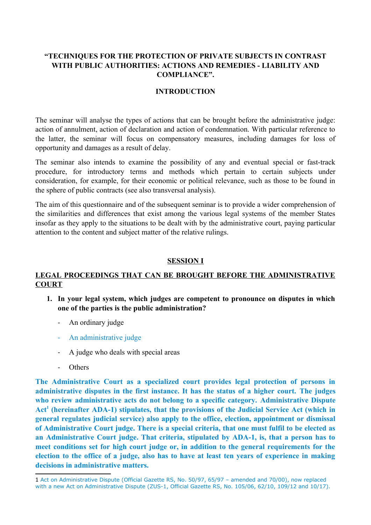## **"TECHNIQUES FOR THE PROTECTION OF PRIVATE SUBJECTS IN CONTRAST WITH PUBLIC AUTHORITIES: ACTIONS AND REMEDIES - LIABILITY AND COMPLIANCE".**

#### **INTRODUCTION**

The seminar will analyse the types of actions that can be brought before the administrative judge: action of annulment, action of declaration and action of condemnation. With particular reference to the latter, the seminar will focus on compensatory measures, including damages for loss of opportunity and damages as a result of delay.

The seminar also intends to examine the possibility of any and eventual special or fast-track procedure, for introductory terms and methods which pertain to certain subjects under consideration, for example, for their economic or political relevance, such as those to be found in the sphere of public contracts (see also transversal analysis).

The aim of this questionnaire and of the subsequent seminar is to provide a wider comprehension of the similarities and differences that exist among the various legal systems of the member States insofar as they apply to the situations to be dealt with by the administrative court, paying particular attention to the content and subject matter of the relative rulings.

#### **SESSION I**

## **LEGAL PROCEEDINGS THAT CAN BE BROUGHT BEFORE THE ADMINISTRATIVE COURT**

- **1. In your legal system, which judges are competent to pronounce on disputes in which one of the parties is the public administration?**
	- An ordinary judge
	- An administrative judge
	- A judge who deals with special areas
	- **Others**

**The Administrative Court as a specialized court provides legal protection of persons in administrative disputes in the first instance. It has the status of a higher court. The judges who review administrative acts do not belong to a specific category. Administrative Dispute Act[1](#page-1-0) (hereinafter ADA-1) stipulates, that the provisions of the Judicial Service Act (which in general regulates judicial service) also apply to the office, election, appointment or dismissal of Administrative Court judge. There is a special criteria, that one must fulfil to be elected as an Administrative Court judge. That criteria, stipulated by ADA-1, is, that a person has to meet conditions set for high court judge or, in addition to the general requirements for the election to the office of a judge, also has to have at least ten years of experience in making decisions in administrative matters.** 

<span id="page-1-0"></span><sup>1</sup> Act on Administrative Dispute (Official Gazette RS, No. 50/97, 65/97 – amended and 70/00), now replaced with a new Act on Administrative Dispute (ZUS-1, Official Gazette RS, No. 105/06, 62/10, 109/12 and 10/17).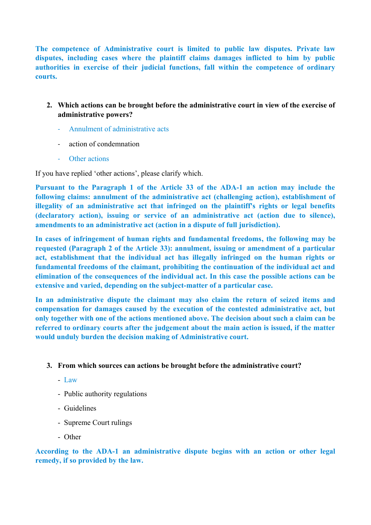**The competence of Administrative court is limited to public law disputes. Private law disputes, including cases where the plaintiff claims damages inflicted to him by public authorities in exercise of their judicial functions, fall within the competence of ordinary courts.** 

- **2. Which actions can be brought before the administrative court in view of the exercise of administrative powers?**
	- Annulment of administrative acts
	- action of condemnation
	- Other actions

If you have replied 'other actions', please clarify which.

**Pursuant to the Paragraph 1 of the Article 33 of the ADA-1 an action may include the following claims: annulment of the administrative act (challenging action), establishment of illegality of an administrative act that infringed on the plaintiff's rights or legal benefits (declaratory action), issuing or service of an administrative act (action due to silence), amendments to an administrative act (action in a dispute of full jurisdiction).**

**In cases of infringement of human rights and fundamental freedoms, the following may be requested (Paragraph 2 of the Article 33): annulment, issuing or amendment of a particular act, establishment that the individual act has illegally infringed on the human rights or fundamental freedoms of the claimant, prohibiting the continuation of the individual act and elimination of the consequences of the individual act. In this case the possible actions can be extensive and varied, depending on the subject-matter of a particular case.**

**In an administrative dispute the claimant may also claim the return of seized items and compensation for damages caused by the execution of the contested administrative act, but only together with one of the actions mentioned above. The decision about such a claim can be referred to ordinary courts after the judgement about the main action is issued, if the matter would unduly burden the decision making of Administrative court.**

## **3. From which sources can actions be brought before the administrative court?**

- Law
- Public authority regulations
- Guidelines
- Supreme Court rulings
- Other

**According to the ADA-1 an administrative dispute begins with an action or other legal remedy, if so provided by the law.**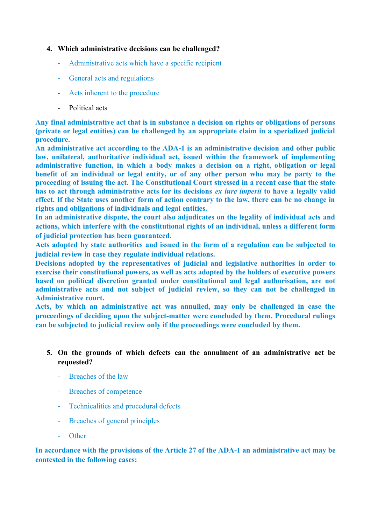#### **4. Which administrative decisions can be challenged?**

- Administrative acts which have a specific recipient
- General acts and regulations
- Acts inherent to the procedure
- Political acts

**Any final administrative act that is in substance a decision on rights or obligations of persons (private or legal entities) can be challenged by an appropriate claim in a specialized judicial procedure.**

**An administrative act according to the ADA-1 is an administrative decision and other public law, unilateral, authoritative individual act, issued within the framework of implementing administrative function, in which a body makes a decision on a right, obligation or legal benefit of an individual or legal entity, or of any other person who may be party to the proceeding of issuing the act. The Constitutional Court stressed in a recent case that the state has to act through administrative acts for its decisions** *ex iure imperii* **to have a legally valid effect. If the State uses another form of action contrary to the law, there can be no change in rights and obligations of individuals and legal entities.** 

**In an administrative dispute, the court also adjudicates on the legality of individual acts and actions, which interfere with the constitutional rights of an individual, unless a different form of judicial protection has been guaranteed.** 

**Acts adopted by state authorities and issued in the form of a regulation can be subjected to judicial review in case they regulate individual relations.** 

**Decisions adopted by the representatives of judicial and legislative authorities in order to exercise their constitutional powers, as well as acts adopted by the holders of executive powers based on political discretion granted under constitutional and legal authorisation, are not administrative acts and not subject of judicial review, so they can not be challenged in Administrative court.**

**Acts, by which an administrative act was annulled, may only be challenged in case the proceedings of deciding upon the subject-matter were concluded by them. Procedural rulings can be subjected to judicial review only if the proceedings were concluded by them.** 

## **5. On the grounds of which defects can the annulment of an administrative act be requested?**

- Breaches of the law
- Breaches of competence
- Technicalities and procedural defects
- Breaches of general principles
- **Other**

## **In accordance with the provisions of the Article 27 of the ADA-1 an administrative act may be contested in the following cases:**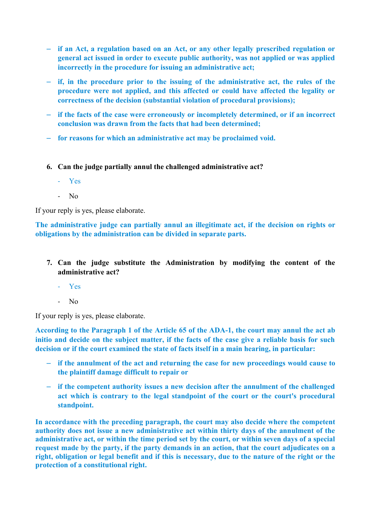- **if an Act, a regulation based on an Act, or any other legally prescribed regulation or general act issued in order to execute public authority, was not applied or was applied incorrectly in the procedure for issuing an administrative act;**
- **if, in the procedure prior to the issuing of the administrative act, the rules of the procedure were not applied, and this affected or could have affected the legality or correctness of the decision (substantial violation of procedural provisions);**
- **if the facts of the case were erroneously or incompletely determined, or if an incorrect conclusion was drawn from the facts that had been determined;**
- **for reasons for which an administrative act may be proclaimed void.**
- **6. Can the judge partially annul the challenged administrative act?**
	- Yes
	- No

If your reply is yes, please elaborate.

**The administrative judge can partially annul an illegitimate act, if the decision on rights or obligations by the administration can be divided in separate parts.**

- **7. Can the judge substitute the Administration by modifying the content of the administrative act?**
	- Yes
	- No

If your reply is yes, please elaborate.

**According to the Paragraph 1 of the Article 65 of the ADA-1, the court may annul the act ab initio and decide on the subject matter, if the facts of the case give a reliable basis for such decision or if the court examined the state of facts itself in a main hearing, in particular:**

- **if the annulment of the act and returning the case for new proceedings would cause to the plaintiff damage difficult to repair or**
- **if the competent authority issues a new decision after the annulment of the challenged act which is contrary to the legal standpoint of the court or the court's procedural standpoint.**

**In accordance with the preceding paragraph, the court may also decide where the competent authority does not issue a new administrative act within thirty days of the annulment of the administrative act, or within the time period set by the court, or within seven days of a special request made by the party, if the party demands in an action, that the court adjudicates on a right, obligation or legal benefit and if this is necessary, due to the nature of the right or the protection of a constitutional right.**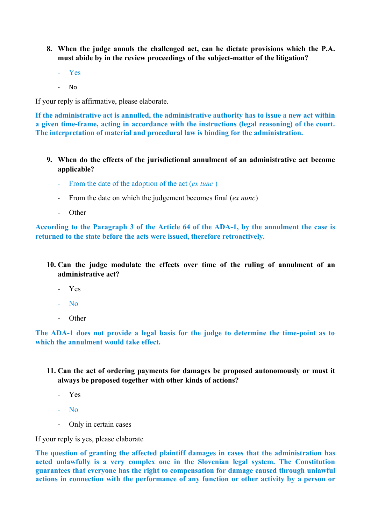- **8. When the judge annuls the challenged act, can he dictate provisions which the P.A. must abide by in the review proceedings of the subject-matter of the litigation?**
	- Yes
	- No

If your reply is affirmative, please elaborate.

**If the administrative act is annulled, the administrative authority has to issue a new act within a given time-frame, acting in accordance with the instructions (legal reasoning) of the court. The interpretation of material and procedural law is binding for the administration.**

- **9. When do the effects of the jurisdictional annulment of an administrative act become applicable?** 
	- From the date of the adoption of the act (*ex tunc*)
	- From the date on which the judgement becomes final (*ex nunc*)
	- Other

**According to the Paragraph 3 of the Article 64 of the ADA-1, by the annulment the case is returned to the state before the acts were issued, therefore retroactively.** 

- **10. Can the judge modulate the effects over time of the ruling of annulment of an administrative act?**
	- Yes
	- No
	- Other

**The ADA-1 does not provide a legal basis for the judge to determine the time-point as to which the annulment would take effect.** 

- **11. Can the act of ordering payments for damages be proposed autonomously or must it always be proposed together with other kinds of actions?**
	- Yes
	- No
	- Only in certain cases

If your reply is yes, please elaborate

**The question of granting the affected plaintiff damages in cases that the administration has acted unlawfully is a very complex one in the Slovenian legal system. The Constitution guarantees that everyone has the right to compensation for damage caused through unlawful actions in connection with the performance of any function or other activity by a person or**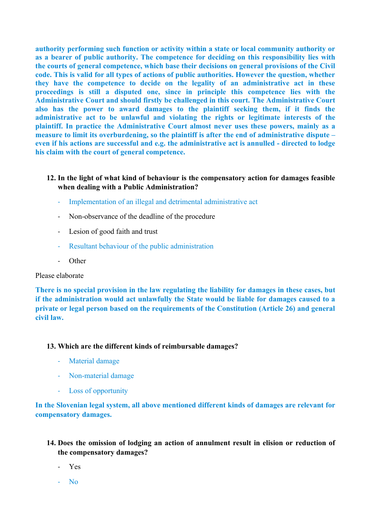**authority performing such function or activity within a state or local community authority or as a bearer of public authority. The competence for deciding on this responsibility lies with the courts of general competence, which base their decisions on general provisions of the Civil code. This is valid for all types of actions of public authorities. However the question, whether they have the competence to decide on the legality of an administrative act in these proceedings is still a disputed one, since in principle this competence lies with the Administrative Court and should firstly be challenged in this court. The Administrative Court also has the power to award damages to the plaintiff seeking them, if it finds the administrative act to be unlawful and violating the rights or legitimate interests of the plaintiff. In practice the Administrative Court almost never uses these powers, mainly as a measure to limit its overburdening, so the plaintiff is after the end of administrative dispute – even if his actions are successful and e.g. the administrative act is annulled - directed to lodge his claim with the court of general competence.**

## **12. In the light of what kind of behaviour is the compensatory action for damages feasible when dealing with a Public Administration?**

- Implementation of an illegal and detrimental administrative act
- Non-observance of the deadline of the procedure
- Lesion of good faith and trust
- Resultant behaviour of the public administration
- Other

#### Please elaborate

**There is no special provision in the law regulating the liability for damages in these cases, but if the administration would act unlawfully the State would be liable for damages caused to a private or legal person based on the requirements of the Constitution (Article 26) and general civil law.** 

#### **13. Which are the different kinds of reimbursable damages?**

- Material damage
- Non-material damage
- Loss of opportunity

## **In the Slovenian legal system, all above mentioned different kinds of damages are relevant for compensatory damages.**

- **14. Does the omission of lodging an action of annulment result in elision or reduction of the compensatory damages?**
	- Yes
	- No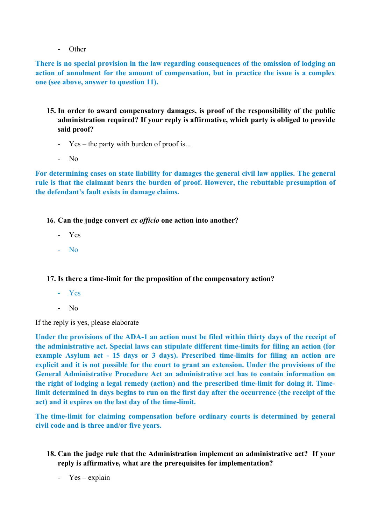**Other** 

**There is no special provision in the law regarding consequences of the omission of lodging an action of annulment for the amount of compensation, but in practice the issue is a complex one (see above, answer to question 11).** 

- **15. In order to award compensatory damages, is proof of the responsibility of the public administration required? If your reply is affirmative, which party is obliged to provide said proof?**
	- Yes the party with burden of proof is...
	- No

**For determining cases on state liability for damages the general civil law applies. The general rule is that the claimant bears the burden of proof. However, the rebuttable presumption of the defendant's fault exists in damage claims.** 

**16. Can the judge convert** *ex officio* **one action into another?**

- Yes
- No

## **17. Is there a time-limit for the proposition of the compensatory action?**

- Yes
- No

If the reply is yes, please elaborate

**Under the provisions of the ADA-1 an action must be filed within thirty days of the receipt of the administrative act. Special laws can stipulate different time-limits for filing an action (for example Asylum act - 15 days or 3 days). Prescribed time-limits for filing an action are explicit and it is not possible for the court to grant an extension. Under the provisions of the General Administrative Procedure Act an administrative act has to contain information on the right of lodging a legal remedy (action) and the prescribed time-limit for doing it. Timelimit determined in days begins to run on the first day after the occurrence (the receipt of the act) and it expires on the last day of the time-limit.** 

**The time-limit for claiming compensation before ordinary courts is determined by general civil code and is three and/or five years.**

- **18. Can the judge rule that the Administration implement an administrative act? If your reply is affirmative, what are the prerequisites for implementation?**
	- $Yes explanation$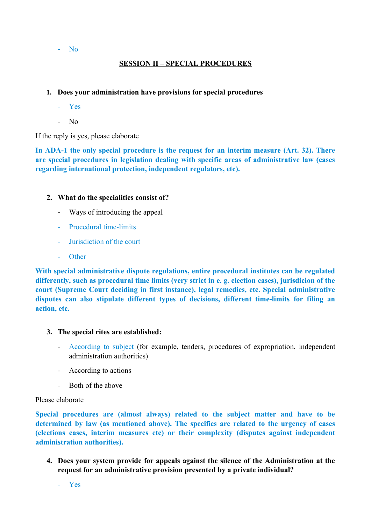#### - No

## **SESSION II – SPECIAL PROCEDURES**

## **1. Does your administration have provisions for special procedures**

- Yes
- $N<sub>0</sub>$

If the reply is yes, please elaborate

**In ADA-1 the only special procedure is the request for an interim measure (Art. 32). There are special procedures in legislation dealing with specific areas of administrative law (cases regarding international protection, independent regulators, etc).**

## **2. What do the specialities consist of?**

- Ways of introducing the appeal
- Procedural time-limits
- Jurisdiction of the court
- Other

**With special administrative dispute regulations, entire procedural institutes can be regulated differently, such as procedural time limits (very strict in e. g. election cases), jurisdicion of the court (Supreme Court deciding in first instance), legal remedies, etc. Special administrative disputes can also stipulate different types of decisions, different time-limits for filing an action, etc.**

## **3. The special rites are established:**

- According to subject (for example, tenders, procedures of expropriation, independent administration authorities)
- According to actions
- Both of the above

## Please elaborate

**Special procedures are (almost always) related to the subject matter and have to be determined by law (as mentioned above). The specifics are related to the urgency of cases (elections cases, interim measures etc) or their complexity (disputes against independent administration authorities).** 

**4. Does your system provide for appeals against the silence of the Administration at the request for an administrative provision presented by a private individual?**

- Yes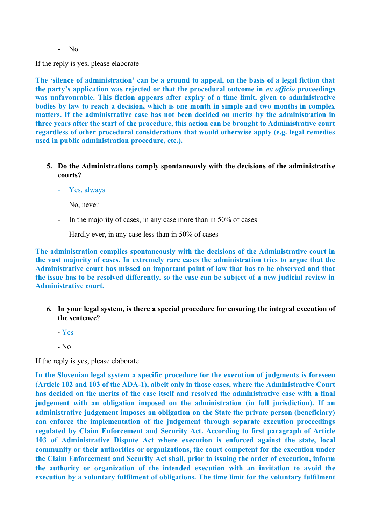- No

If the reply is yes, please elaborate

**The 'silence of administration' can be a ground to appeal, on the basis of a legal fiction that the party's application was rejected or that the procedural outcome in** *ex officio* **proceedings was unfavourable. This fiction appears after expiry of a time limit, given to administrative bodies by law to reach a decision, which is one month in simple and two months in complex matters. If the administrative case has not been decided on merits by the administration in three years after the start of the procedure, this action can be brought to Administrative court regardless of other procedural considerations that would otherwise apply (e.g. legal remedies used in public administration procedure, etc.).** 

- **5. Do the Administrations comply spontaneously with the decisions of the administrative courts?**
	- Yes, always
	- No, never
	- In the majority of cases, in any case more than in 50% of cases
	- Hardly ever, in any case less than in 50% of cases

**The administration complies spontaneously with the decisions of the Administrative court in the vast majority of cases. In extremely rare cases the administration tries to argue that the Administrative court has missed an important point of law that has to be observed and that the issue has to be resolved differently, so the case can be subject of a new judicial review in Administrative court.**

- **6. In your legal system, is there a special procedure for ensuring the integral execution of the sentence**?
	- Yes
	- No

If the reply is yes, please elaborate

**In the Slovenian legal system a specific procedure for the execution of judgments is foreseen (Article 102 and 103 of the ADA-1), albeit only in those cases, where the Administrative Court has decided on the merits of the case itself and resolved the administrative case with a final judgement with an obligation imposed on the administration (in full jurisdiction). If an administrative judgement imposes an obligation on the State the private person (beneficiary) can enforce the implementation of the judgement through separate execution proceedings regulated by Claim Enforcement and Security Act. According to first paragraph of Article 103 of Administrative Dispute Act where execution is enforced against the state, local community or their authorities or organizations, the court competent for the execution under the Claim Enforcement and Security Act shall, prior to issuing the order of execution, inform the authority or organization of the intended execution with an invitation to avoid the execution by a voluntary fulfilment of obligations. The time limit for the voluntary fulfilment**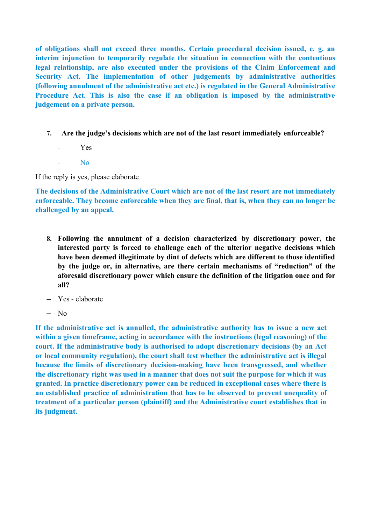**of obligations shall not exceed three months. Certain procedural decision issued, e. g. an interim injunction to temporarily regulate the situation in connection with the contentious legal relationship, are also executed under the provisions of the Claim Enforcement and Security Act. The implementation of other judgements by administrative authorities (following annulment of the administrative act etc.) is regulated in the General Administrative Procedure Act. This is also the case if an obligation is imposed by the administrative judgement on a private person.** 

- **7. Are the judge's decisions which are not of the last resort immediately enforceable?**
	- Yes
	- $N<sub>0</sub>$

If the reply is yes, please elaborate

**The decisions of the Administrative Court which are not of the last resort are not immediately enforceable. They become enforceable when they are final, that is, when they can no longer be challenged by an appeal.**

- **8. Following the annulment of a decision characterized by discretionary power, the interested party is forced to challenge each of the ulterior negative decisions which have been deemed illegitimate by dint of defects which are different to those identified by the judge or, in alternative, are there certain mechanisms of "reduction" of the aforesaid discretionary power which ensure the definition of the litigation once and for all?**
- Yes elaborate
- No

**If the administrative act is annulled, the administrative authority has to issue a new act within a given timeframe, acting in accordance with the instructions (legal reasoning) of the court. If the administrative body is authorised to adopt discretionary decisions (by an Act or local community regulation), the court shall test whether the administrative act is illegal because the limits of discretionary decision-making have been transgressed, and whether the discretionary right was used in a manner that does not suit the purpose for which it was granted. In practice discretionary power can be reduced in exceptional cases where there is an established practice of administration that has to be observed to prevent unequality of treatment of a particular person (plaintiff) and the Administrative court establishes that in its judgment.**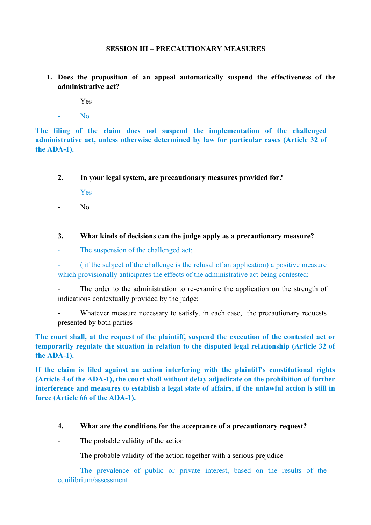## **SESSION III – PRECAUTIONARY MEASURES**

- **1. Does the proposition of an appeal automatically suspend the effectiveness of the administrative act?**
	- Yes
	- No

**The filing of the claim does not suspend the implementation of the challenged administrative act, unless otherwise determined by law for particular cases (Article 32 of the ADA-1).** 

- **2. In your legal system, are precautionary measures provided for?**
- Yes
- No
- **3. What kinds of decisions can the judge apply as a precautionary measure?**
- The suspension of the challenged act;

- ( if the subject of the challenge is the refusal of an application) a positive measure which provisionally anticipates the effects of the administrative act being contested;

- The order to the administration to re-examine the application on the strength of indications contextually provided by the judge;
- Whatever measure necessary to satisfy, in each case, the precautionary requests presented by both parties

**The court shall, at the request of the plaintiff, suspend the execution of the contested act or temporarily regulate the situation in relation to the disputed legal relationship (Article 32 of the ADA-1).** 

**If the claim is filed against an action interfering with the plaintiff's constitutional rights (Article 4 of the ADA-1), the court shall without delay adjudicate on the prohibition of further interference and measures to establish a legal state of affairs, if the unlawful action is still in force (Article 66 of the ADA-1).**

#### **4. What are the conditions for the acceptance of a precautionary request?**

- The probable validity of the action
- The probable validity of the action together with a serious prejudice

The prevalence of public or private interest, based on the results of the equilibrium/assessment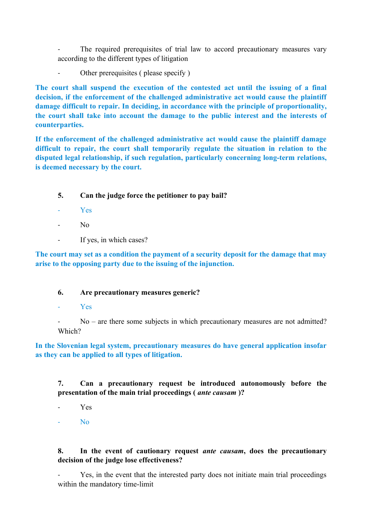The required prerequisites of trial law to accord precautionary measures vary according to the different types of litigation

Other prerequisites ( please specify )

**The court shall suspend the execution of the contested act until the issuing of a final decision, if the enforcement of the challenged administrative act would cause the plaintiff damage difficult to repair. In deciding, in accordance with the principle of proportionality, the court shall take into account the damage to the public interest and the interests of counterparties.**

**If the enforcement of the challenged administrative act would cause the plaintiff damage difficult to repair, the court shall temporarily regulate the situation in relation to the disputed legal relationship, if such regulation, particularly concerning long-term relations, is deemed necessary by the court.** 

## **5. Can the judge force the petitioner to pay bail?**

- Y<sub>es</sub>
- $N<sub>0</sub>$
- If yes, in which cases?

**The court may set as a condition the payment of a security deposit for the damage that may arise to the opposing party due to the issuing of the injunction.**

## **6. Are precautionary measures generic?**

- Yes

 $No$  – are there some subjects in which precautionary measures are not admitted? Which?

**In the Slovenian legal system, precautionary measures do have general application insofar as they can be applied to all types of litigation.**

**7. Can a precautionary request be introduced autonomously before the presentation of the main trial proceedings (** *ante causam* **)?**

- Yes
- $N<sub>0</sub>$

#### **8. In the event of cautionary request** *ante causam***, does the precautionary decision of the judge lose effectiveness?**

Yes, in the event that the interested party does not initiate main trial proceedings within the mandatory time-limit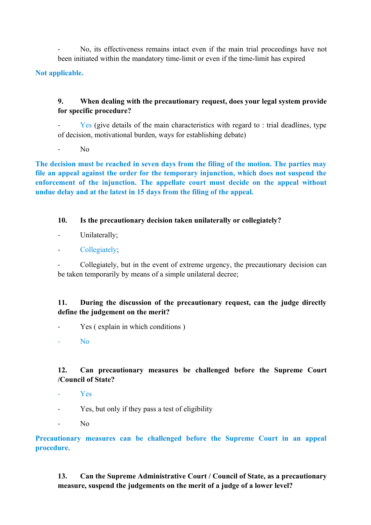No, its effectiveness remains intact even if the main trial proceedings have not been initiated within the mandatory time-limit or even if the time-limit has expired

**Not applicable.**

## **9. When dealing with the precautionary request, does your legal system provide for specific procedure?**

 $Yes$  (give details of the main characteristics with regard to : trial deadlines, type of decision, motivational burden, ways for establishing debate)

 $N<sub>0</sub>$ 

**The decision must be reached in seven days from the filing of the motion. The parties may file an appeal against the order for the temporary injunction, which does not suspend the enforcement of the injunction. The appellate court must decide on the appeal without undue delay and at the latest in 15 days from the filing of the appeal.** 

#### **10. Is the precautionary decision taken unilaterally or collegiately?**

Unilaterally;

#### Collegiately;

- Collegiately, but in the event of extreme urgency, the precautionary decision can be taken temporarily by means of a simple unilateral decree;

## **11. During the discussion of the precautionary request, can the judge directly define the judgement on the merit?**

Yes (explain in which conditions)

N<sub>0</sub>

## **12. Can precautionary measures be challenged before the Supreme Court /Council of State?**

- Yes
- Yes, but only if they pass a test of eligibility
- N<sub>0</sub>

**Precautionary measures can be challenged before the Supreme Court in an appeal procedure.** 

**13. Can the Supreme Administrative Court / Council of State, as a precautionary measure, suspend the judgements on the merit of a judge of a lower level?**